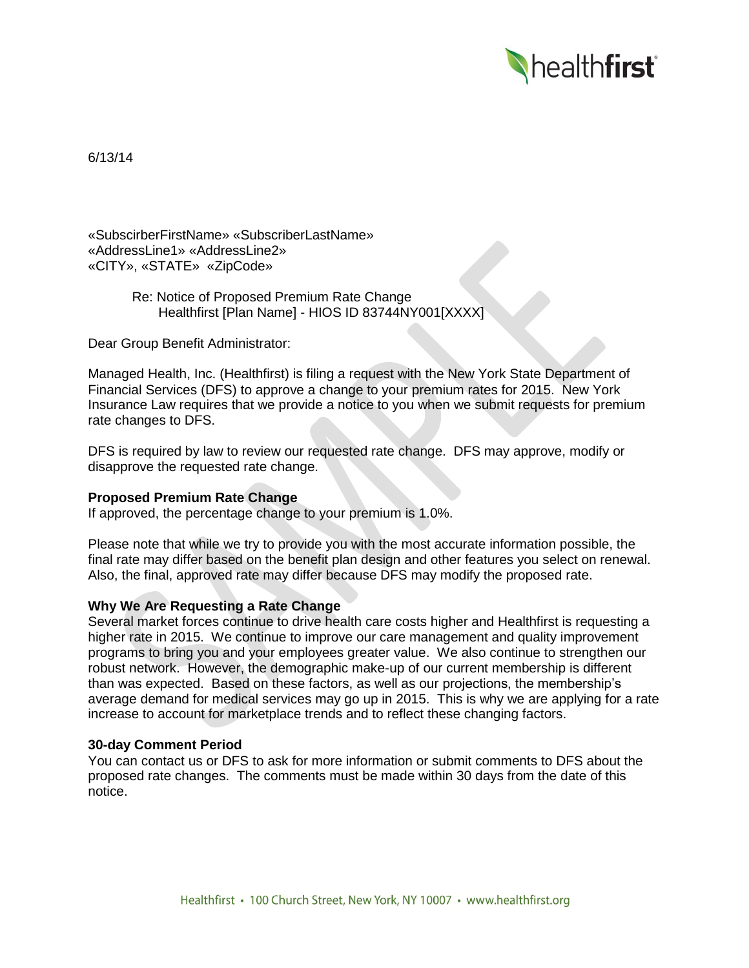

6/13/14

«SubscirberFirstName» «SubscriberLastName» «AddressLine1» «AddressLine2» «CITY», «STATE» «ZipCode»

> Re: Notice of Proposed Premium Rate Change Healthfirst [Plan Name] - HIOS ID 83744NY001[XXXX]

Dear Group Benefit Administrator:

Managed Health, Inc. (Healthfirst) is filing a request with the New York State Department of Financial Services (DFS) to approve a change to your premium rates for 2015. New York Insurance Law requires that we provide a notice to you when we submit requests for premium rate changes to DFS.

DFS is required by law to review our requested rate change. DFS may approve, modify or disapprove the requested rate change.

## **Proposed Premium Rate Change**

If approved, the percentage change to your premium is 1.0%.

Please note that while we try to provide you with the most accurate information possible, the final rate may differ based on the benefit plan design and other features you select on renewal. Also, the final, approved rate may differ because DFS may modify the proposed rate.

## **Why We Are Requesting a Rate Change**

Several market forces continue to drive health care costs higher and Healthfirst is requesting a higher rate in 2015. We continue to improve our care management and quality improvement programs to bring you and your employees greater value. We also continue to strengthen our robust network. However, the demographic make-up of our current membership is different than was expected. Based on these factors, as well as our projections, the membership's average demand for medical services may go up in 2015. This is why we are applying for a rate increase to account for marketplace trends and to reflect these changing factors.

## **30-day Comment Period**

You can contact us or DFS to ask for more information or submit comments to DFS about the proposed rate changes. The comments must be made within 30 days from the date of this notice.